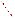